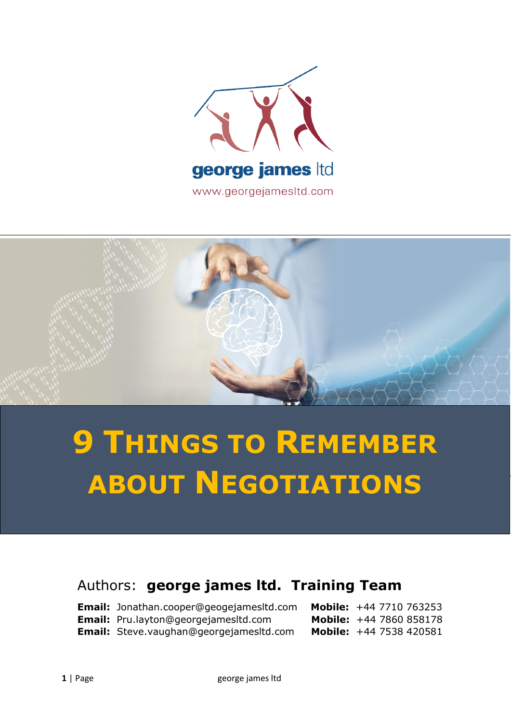



## **9 THINGS TO REMEMBER ABOUT NEGOTIATIONS**

## Authors: **george james ltd. Training Team**

| <b>Email:</b> Jonathan.cooper@geogejamesitd.com | <b>Mobile:</b> +44 7710 763253 |
|-------------------------------------------------|--------------------------------|
| Email: Pru.layton@georgejamesltd.com            | <b>Mobile:</b> +44 7860 858178 |
| <b>Email:</b> Steve.vaughan@georgejamesitd.com  | <b>Mobile:</b> +44 7538 420581 |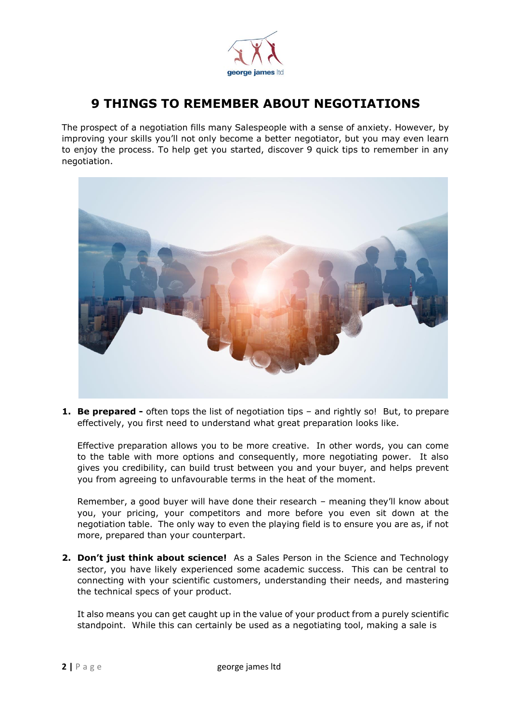

## **9 THINGS TO REMEMBER ABOUT NEGOTIATIONS**

The prospect of a negotiation fills many Salespeople with a sense of anxiety. However, by improving your skills you'll not only become a better negotiator, but you may even learn to enjoy the process. To help get you started, discover 9 quick tips to remember in any negotiation.



**1. Be prepared -** often tops the list of negotiation tips – and rightly so! But, to prepare effectively, you first need to understand what great preparation looks like.

Effective preparation allows you to be more creative. In other words, you can come to the table with more options and consequently, more negotiating power. It also gives you credibility, can build trust between you and your buyer, and helps prevent you from agreeing to unfavourable terms in the heat of the moment.

Remember, a good buyer will have done their research – meaning they'll know about you, your pricing, your competitors and more before you even sit down at the negotiation table. The only way to even the playing field is to ensure you are as, if not more, prepared than your counterpart.

**2. Don't just think about science!** As a Sales Person in the Science and Technology sector, you have likely experienced some academic success. This can be central to connecting with your scientific customers, understanding their needs, and mastering the technical specs of your product.

It also means you can get caught up in the value of your product from a purely scientific standpoint. While this can certainly be used as a negotiating tool, making a sale is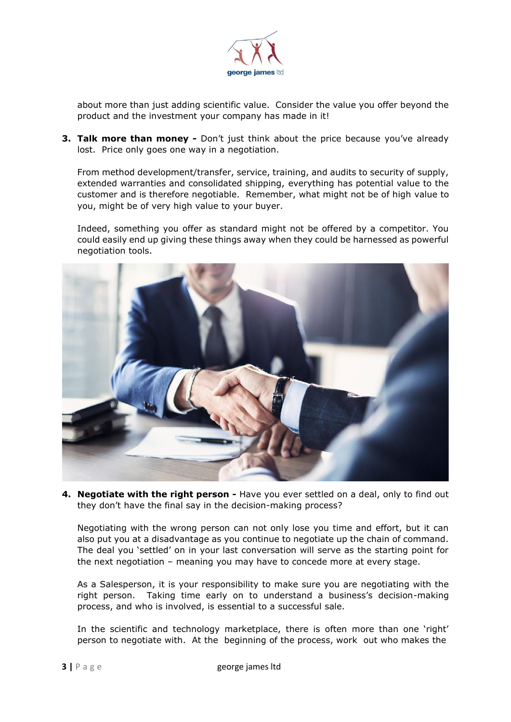

about more than just adding scientific value. Consider the value you offer beyond the product and the investment your company has made in it!

**3. Talk more than money -** Don't just think about the price because you've already lost. Price only goes one way in a negotiation.

From method development/transfer, service, training, and audits to security of supply, extended warranties and consolidated shipping, everything has potential value to the customer and is therefore negotiable. Remember, what might not be of high value to you, might be of very high value to your buyer.

Indeed, something you offer as standard might not be offered by a competitor. You could easily end up giving these things away when they could be harnessed as powerful negotiation tools.



**4. Negotiate with the right person -** Have you ever settled on a deal, only to find out they don't have the final say in the decision-making process?

Negotiating with the wrong person can not only lose you time and effort, but it can also put you at a disadvantage as you continue to negotiate up the chain of command. The deal you 'settled' on in your last conversation will serve as the starting point for the next negotiation – meaning you may have to concede more at every stage.

As a Salesperson, it is your responsibility to make sure you are negotiating with the right person. Taking time early on to understand a business's decision-making process, and who is involved, is essential to a successful sale.

In the scientific and technology marketplace, there is often more than one 'right' person to negotiate with. At the beginning of the process, work out who makes the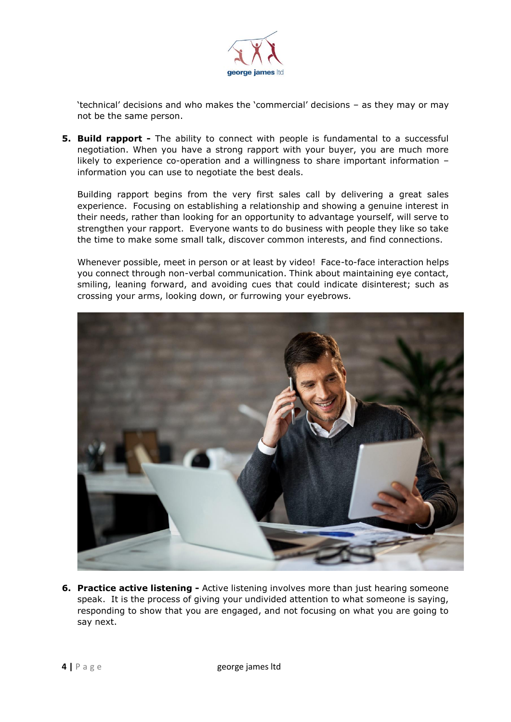

'technical' decisions and who makes the 'commercial' decisions – as they may or may not be the same person.

**5. Build rapport -** The ability to connect with people is fundamental to a successful negotiation. When you have a strong rapport with your buyer, you are much more likely to experience co-operation and a willingness to share important information – information you can use to negotiate the best deals.

Building rapport begins from the very first sales call by delivering a great sales experience. Focusing on establishing a relationship and showing a genuine interest in their needs, rather than looking for an opportunity to advantage yourself, will serve to strengthen your rapport. Everyone wants to do business with people they like so take the time to make some small talk, discover common interests, and find connections.

Whenever possible, meet in person or at least by video! Face-to-face interaction helps you connect through non-verbal communication. Think about maintaining eye contact, smiling, leaning forward, and avoiding cues that could indicate disinterest; such as crossing your arms, looking down, or furrowing your eyebrows.



**6. Practice active listening -** Active listening involves more than just hearing someone speak. It is the process of giving your undivided attention to what someone is saying, responding to show that you are engaged, and not focusing on what you are going to say next.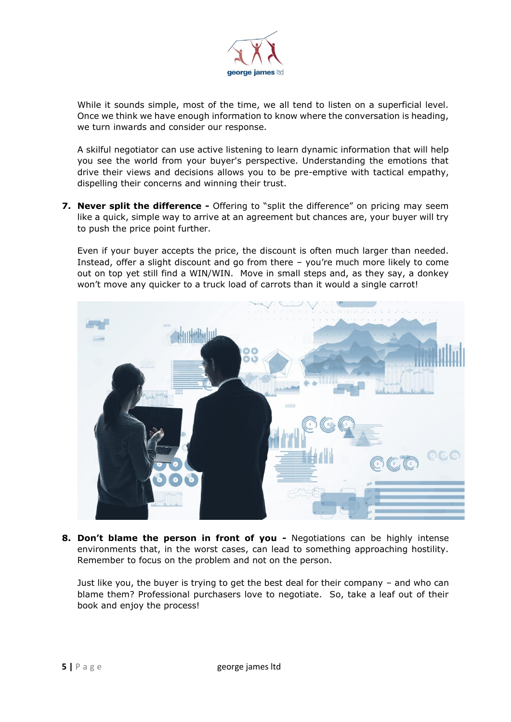

While it sounds simple, most of the time, we all tend to listen on a superficial level. Once we think we have enough information to know where the conversation is heading, we turn inwards and consider our response.

A skilful negotiator can use active listening to learn dynamic information that will help you see the world from your buyer's perspective. Understanding the emotions that drive their views and decisions allows you to be pre-emptive with tactical empathy, dispelling their concerns and winning their trust.

**7. Never split the difference -** Offering to "split the difference" on pricing may seem like a quick, simple way to arrive at an agreement but chances are, your buyer will try to push the price point further.

Even if your buyer accepts the price, the discount is often much larger than needed. Instead, offer a slight discount and go from there – you're much more likely to come out on top yet still find a WIN/WIN. Move in small steps and, as they say, a donkey won't move any quicker to a truck load of carrots than it would a single carrot!



**8. Don't blame the person in front of you -** Negotiations can be highly intense environments that, in the worst cases, can lead to something approaching hostility. Remember to focus on the problem and not on the person.

Just like you, the buyer is trying to get the best deal for their company – and who can blame them? Professional purchasers love to negotiate. So, take a leaf out of their book and enjoy the process!